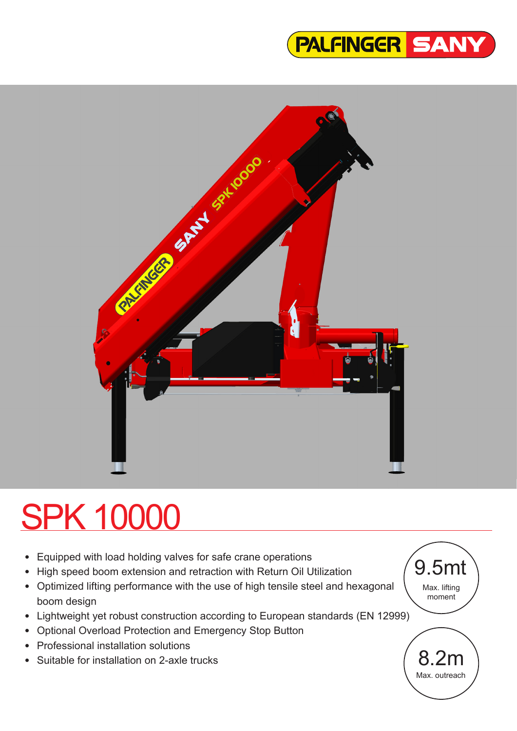



# SPK 10000

- Equipped with load holding valves for safe crane operations
- High speed boom extension and retraction with Return Oil Utilization
- Optimized lifting performance with the use of high tensile steel and hexagonal boom design
- Lightweight yet robust construction according to European standards (EN 12999)
- Optional Overload Protection and Emergency Stop Button
- Professional installation solutions
- Suitable for installation on 2-axle trucks

9.5mt Max. lifting moment

> 8.2m Max. outreach